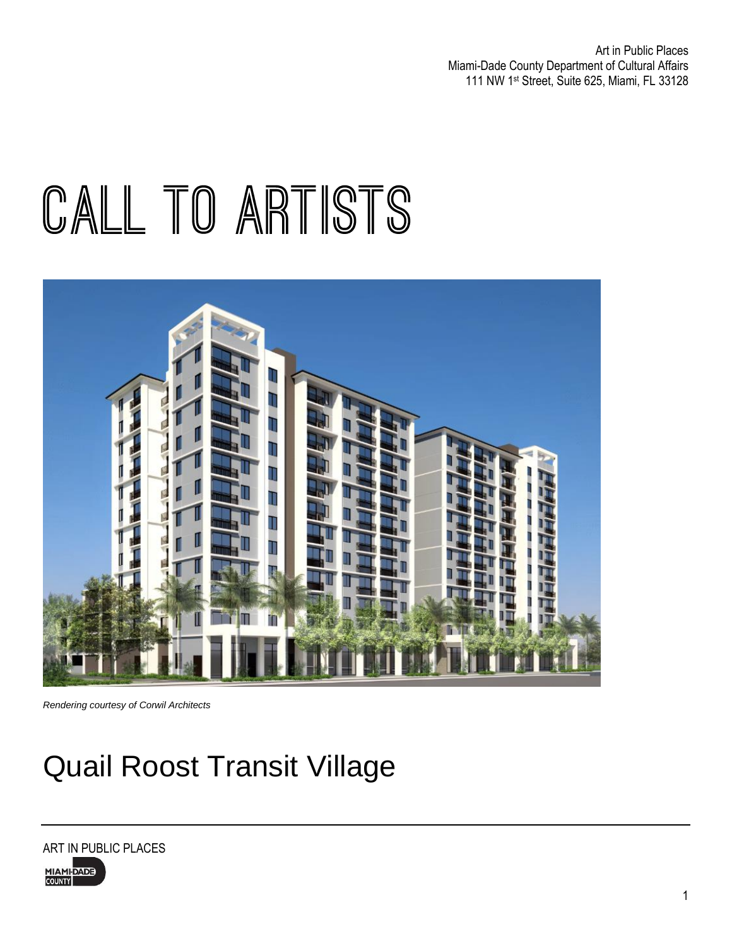Art in Public Places Miami-Dade County Department of Cultural Affairs 111 NW 1st Street, Suite 625, Miami, FL 33128

# CALL TO ARTISTS



*Rendering courtesy of Corwil Architects*

## Quail Roost Transit Village

ART IN PUBLIC PLACES

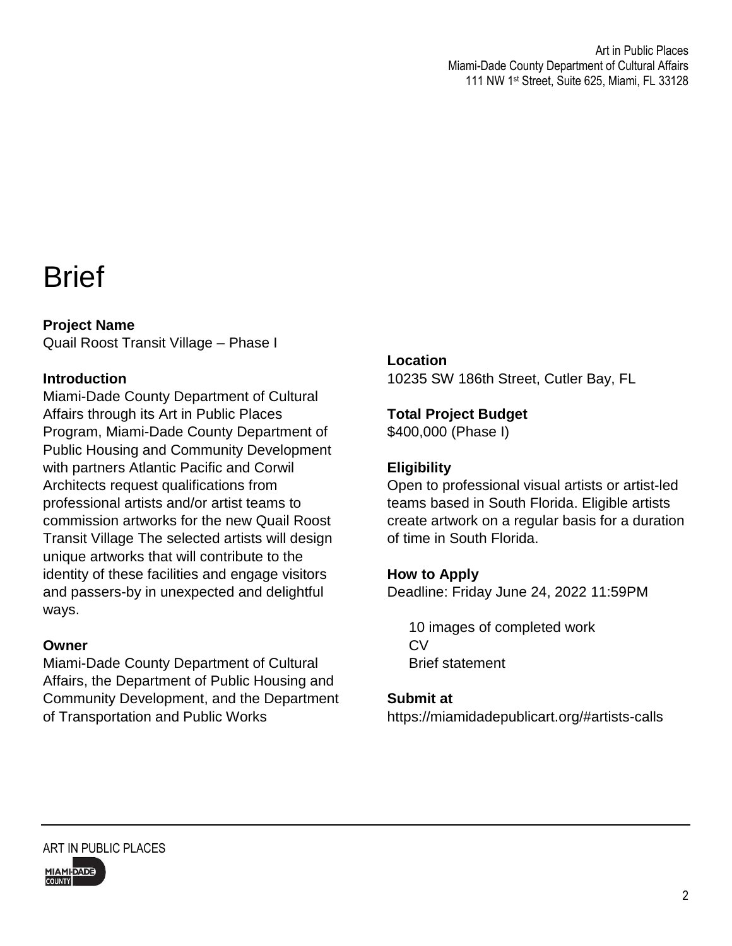### **Brief**

### **Project Name**

Quail Roost Transit Village – Phase I

### **Introduction**

Miami-Dade County Department of Cultural Affairs through its Art in Public Places Program, Miami-Dade County Department of Public Housing and Community Development with partners Atlantic Pacific and Corwil Architects request qualifications from professional artists and/or artist teams to commission artworks for the new Quail Roost Transit Village The selected artists will design unique artworks that will contribute to the identity of these facilities and engage visitors and passers-by in unexpected and delightful ways.

### **Owner**

Miami-Dade County Department of Cultural Affairs, the Department of Public Housing and Community Development, and the Department of Transportation and Public Works

### **Location**

10235 SW 186th Street, Cutler Bay, FL

### **Total Project Budget**

\$400,000 (Phase I)

### **Eligibility**

Open to professional visual artists or artist-led teams based in South Florida. Eligible artists create artwork on a regular basis for a duration of time in South Florida.

### **How to Apply**

Deadline: Friday June 24, 2022 11:59PM

10 images of completed work CV Brief statement

#### **Submit at**

https://miamidadepublicart.org/#artists-calls

ART IN PUBLIC PLACES MIAMI-DADE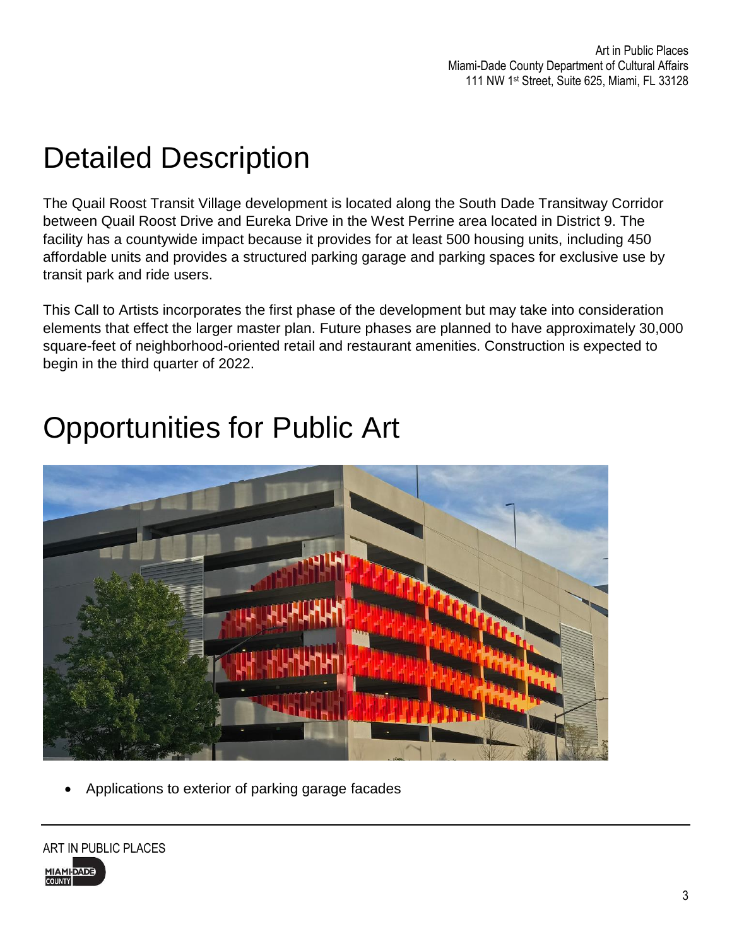## Detailed Description

The Quail Roost Transit Village development is located along the South Dade Transitway Corridor between Quail Roost Drive and Eureka Drive in the West Perrine area located in District 9. The facility has a countywide impact because it provides for at least 500 housing units, including 450 affordable units and provides a structured parking garage and parking spaces for exclusive use by transit park and ride users.

This Call to Artists incorporates the first phase of the development but may take into consideration elements that effect the larger master plan. Future phases are planned to have approximately 30,000 square-feet of neighborhood-oriented retail and restaurant amenities. Construction is expected to begin in the third quarter of 2022.

### Opportunities for Public Art



Applications to exterior of parking garage facades

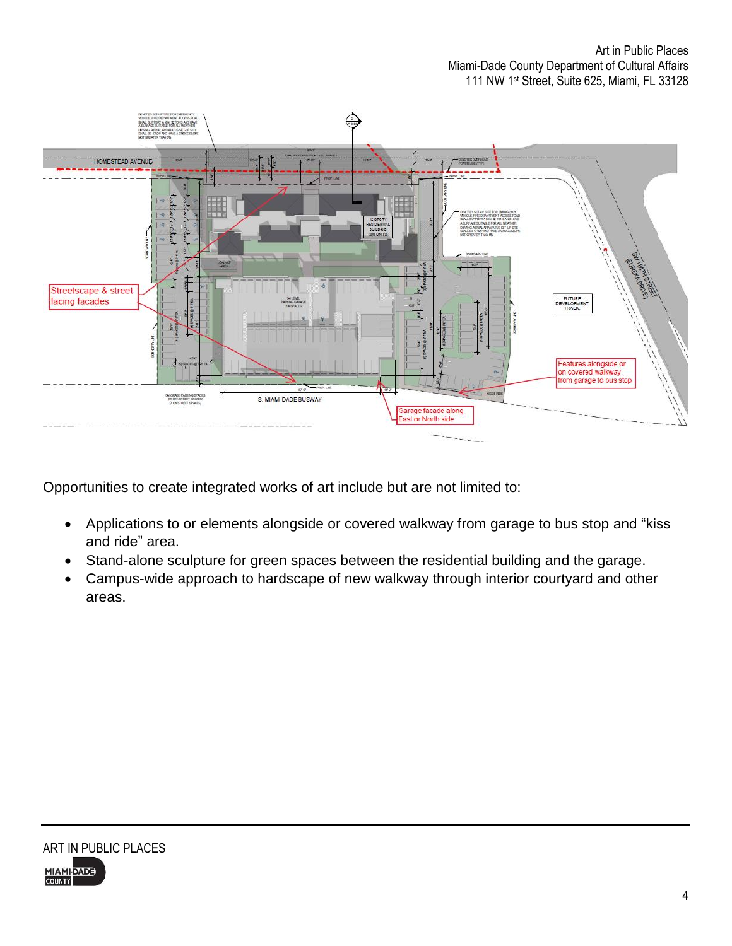

Opportunities to create integrated works of art include but are not limited to:

- Applications to or elements alongside or covered walkway from garage to bus stop and "kiss and ride" area.
- Stand-alone sculpture for green spaces between the residential building and the garage.
- Campus-wide approach to hardscape of new walkway through interior courtyard and other areas.

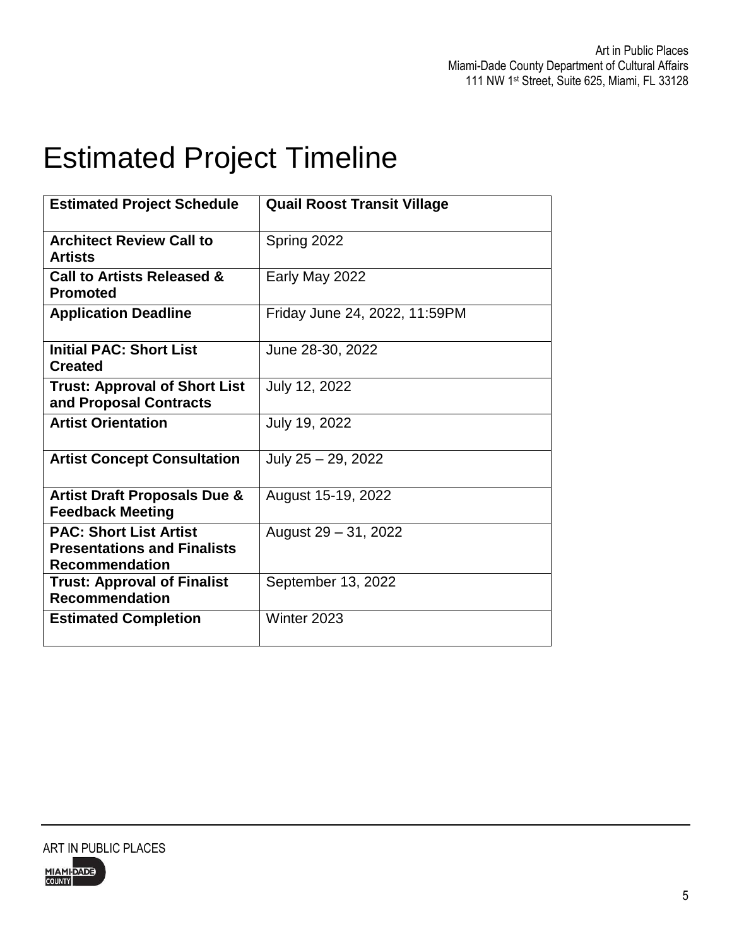## Estimated Project Timeline

| <b>Estimated Project Schedule</b>                                                            | <b>Quail Roost Transit Village</b> |
|----------------------------------------------------------------------------------------------|------------------------------------|
| <b>Architect Review Call to</b><br><b>Artists</b>                                            | Spring 2022                        |
| <b>Call to Artists Released &amp;</b><br><b>Promoted</b>                                     | Early May 2022                     |
| <b>Application Deadline</b>                                                                  | Friday June 24, 2022, 11:59PM      |
| <b>Initial PAC: Short List</b><br><b>Created</b>                                             | June 28-30, 2022                   |
| <b>Trust: Approval of Short List</b><br>and Proposal Contracts                               | July 12, 2022                      |
| <b>Artist Orientation</b>                                                                    | July 19, 2022                      |
| <b>Artist Concept Consultation</b>                                                           | July 25 - 29, 2022                 |
| <b>Artist Draft Proposals Due &amp;</b><br><b>Feedback Meeting</b>                           | August 15-19, 2022                 |
| <b>PAC: Short List Artist</b><br><b>Presentations and Finalists</b><br><b>Recommendation</b> | August 29 - 31, 2022               |
| <b>Trust: Approval of Finalist</b><br><b>Recommendation</b>                                  | September 13, 2022                 |
| <b>Estimated Completion</b>                                                                  | Winter 2023                        |

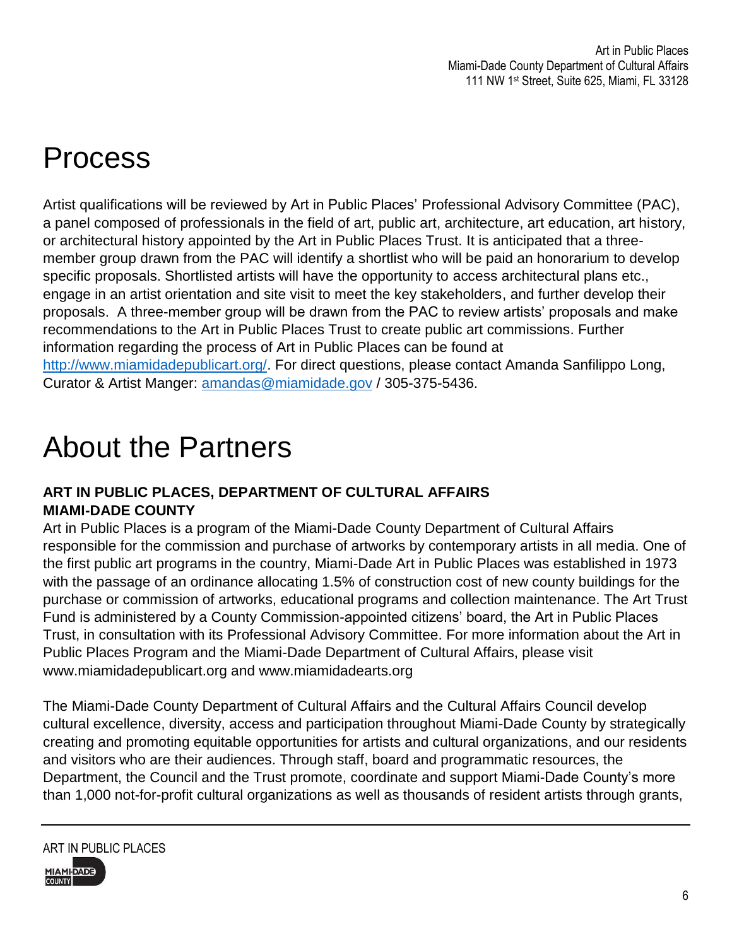# Process

Artist qualifications will be reviewed by Art in Public Places' Professional Advisory Committee (PAC), a panel composed of professionals in the field of art, public art, architecture, art education, art history, or architectural history appointed by the Art in Public Places Trust. It is anticipated that a threemember group drawn from the PAC will identify a shortlist who will be paid an honorarium to develop specific proposals. Shortlisted artists will have the opportunity to access architectural plans etc., engage in an artist orientation and site visit to meet the key stakeholders, and further develop their proposals. A three-member group will be drawn from the PAC to review artists' proposals and make recommendations to the Art in Public Places Trust to create public art commissions. Further information regarding the process of Art in Public Places can be found at [http://www.miamidadepublicart.org/.](http://www.miamidadepublicart.org/) For direct questions, please contact Amanda Sanfilippo Long, Curator & Artist Manger: [amandas@miamidade.gov](mailto:amandas@miamidade.gov) / 305-375-5436.

### About the Partners

### **ART IN PUBLIC PLACES, DEPARTMENT OF CULTURAL AFFAIRS MIAMI-DADE COUNTY**

Art in Public Places is a program of the Miami-Dade County Department of Cultural Affairs responsible for the commission and purchase of artworks by contemporary artists in all media. One of the first public art programs in the country, Miami-Dade Art in Public Places was established in 1973 with the passage of an ordinance allocating 1.5% of construction cost of new county buildings for the purchase or commission of artworks, educational programs and collection maintenance. The Art Trust Fund is administered by a County Commission-appointed citizens' board, the Art in Public Places Trust, in consultation with its Professional Advisory Committee. For more information about the Art in Public Places Program and the Miami-Dade Department of Cultural Affairs, please visit www.miamidadepublicart.org and www.miamidadearts.org

The Miami-Dade County Department of Cultural Affairs and the Cultural Affairs Council develop cultural excellence, diversity, access and participation throughout Miami-Dade County by strategically creating and promoting equitable opportunities for artists and cultural organizations, and our residents and visitors who are their audiences. Through staff, board and programmatic resources, the Department, the Council and the Trust promote, coordinate and support Miami-Dade County's more than 1,000 not-for-profit cultural organizations as well as thousands of resident artists through grants,



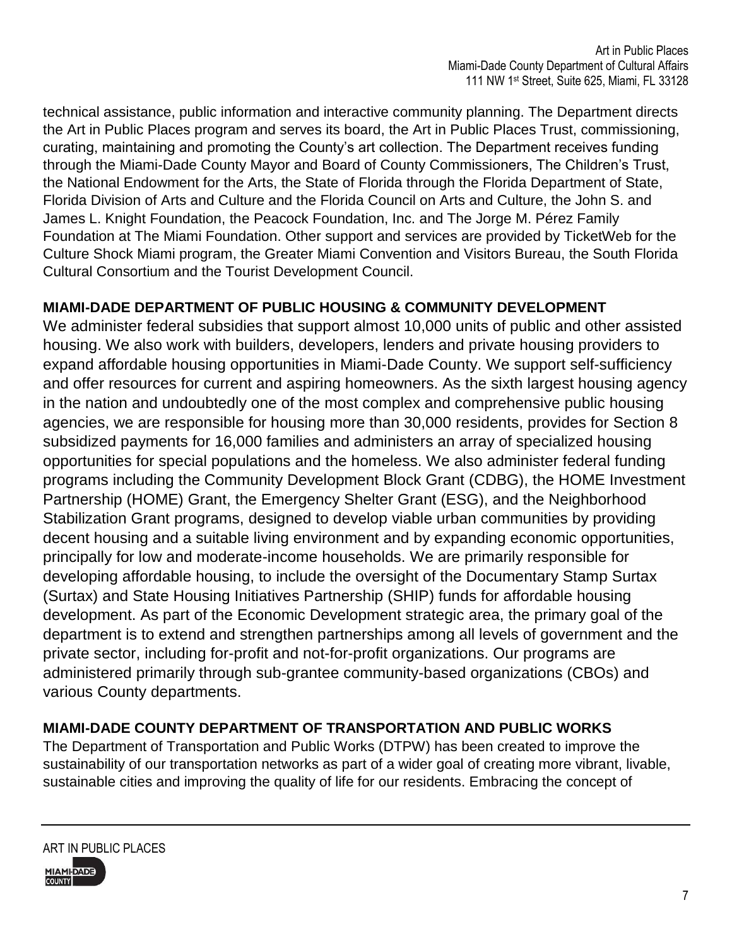technical assistance, public information and interactive community planning. The Department directs the Art in Public Places program and serves its board, the Art in Public Places Trust, commissioning, curating, maintaining and promoting the County's art collection. The Department receives funding through the Miami-Dade County Mayor and Board of County Commissioners, The Children's Trust, the National Endowment for the Arts, the State of Florida through the Florida Department of State, Florida Division of Arts and Culture and the Florida Council on Arts and Culture, the John S. and James L. Knight Foundation, the Peacock Foundation, Inc. and The Jorge M. Pérez Family Foundation at The Miami Foundation. Other support and services are provided by TicketWeb for the Culture Shock Miami program, the Greater Miami Convention and Visitors Bureau, the South Florida Cultural Consortium and the Tourist Development Council.

### **MIAMI-DADE DEPARTMENT OF PUBLIC HOUSING & COMMUNITY DEVELOPMENT**

We administer federal subsidies that support almost 10,000 units of public and other assisted housing. We also work with builders, developers, lenders and private housing providers to expand affordable housing opportunities in Miami-Dade County. We support self-sufficiency and offer resources for current and aspiring homeowners. As the sixth largest housing agency in the nation and undoubtedly one of the most complex and comprehensive public housing agencies, we are responsible for housing more than 30,000 residents, provides for Section 8 subsidized payments for 16,000 families and administers an array of specialized housing opportunities for special populations and the homeless. We also administer federal funding programs including the Community Development Block Grant (CDBG), the HOME Investment Partnership (HOME) Grant, the Emergency Shelter Grant (ESG), and the Neighborhood Stabilization Grant programs, designed to develop viable urban communities by providing decent housing and a suitable living environment and by expanding economic opportunities, principally for low and moderate-income households. We are primarily responsible for developing affordable housing, to include the oversight of the Documentary Stamp Surtax (Surtax) and State Housing Initiatives Partnership (SHIP) funds for affordable housing development. As part of the Economic Development strategic area, the primary goal of the department is to extend and strengthen partnerships among all levels of government and the private sector, including for-profit and not-for-profit organizations. Our programs are administered primarily through sub-grantee community-based organizations (CBOs) and various County departments.

### **MIAMI-DADE COUNTY DEPARTMENT OF TRANSPORTATION AND PUBLIC WORKS**

The Department of Transportation and Public Works (DTPW) has been created to improve the sustainability of our transportation networks as part of a wider goal of creating more vibrant, livable, sustainable cities and improving the quality of life for our residents. Embracing the concept of